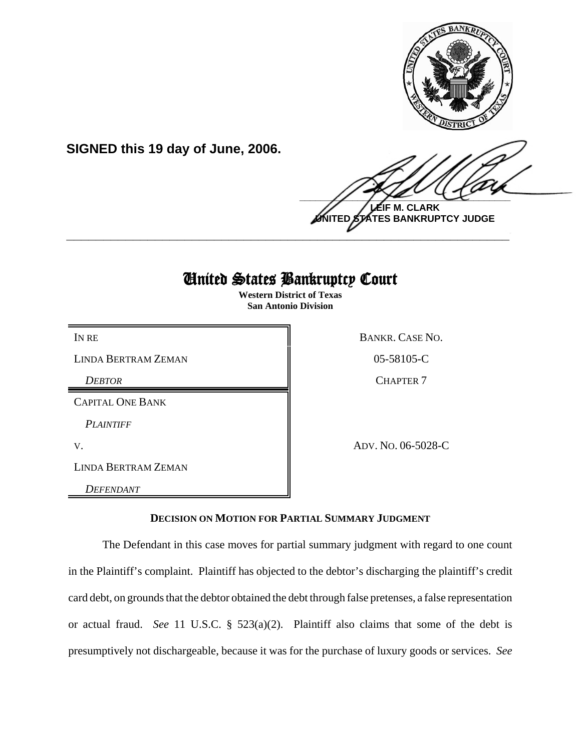

**SIGNED this 19 day of June, 2006.**

 $\frac{1}{2}$ **LEIF M. CLARK**

**UNITED STATES BANKRUPTCY JUDGE \_\_\_\_\_\_\_\_\_\_\_\_\_\_\_\_\_\_\_\_\_\_\_\_\_\_\_\_\_\_\_\_\_\_\_\_\_\_\_\_\_\_\_\_\_\_\_\_\_\_\_\_\_\_\_\_\_\_\_\_**

## United States Bankruptcy Court

**Western District of Texas San Antonio Division**

LINDA BERTRAM ZEMAN 805-58105-C

*DEBTOR* CHAPTER 7

CAPITAL ONE BANK

*PLAINTIFF* 

LINDA BERTRAM ZEMAN

*DEFENDANT* 

IN RE BANKR. CASE NO.

V. ADV. NO. 06-5028-C

## **DECISION ON MOTION FOR PARTIAL SUMMARY JUDGMENT**

The Defendant in this case moves for partial summary judgment with regard to one count in the Plaintiff's complaint. Plaintiff has objected to the debtor's discharging the plaintiff's credit card debt, on grounds that the debtor obtained the debt through false pretenses, a false representation or actual fraud. *See* 11 U.S.C. § 523(a)(2). Plaintiff also claims that some of the debt is presumptively not dischargeable, because it was for the purchase of luxury goods or services. *See*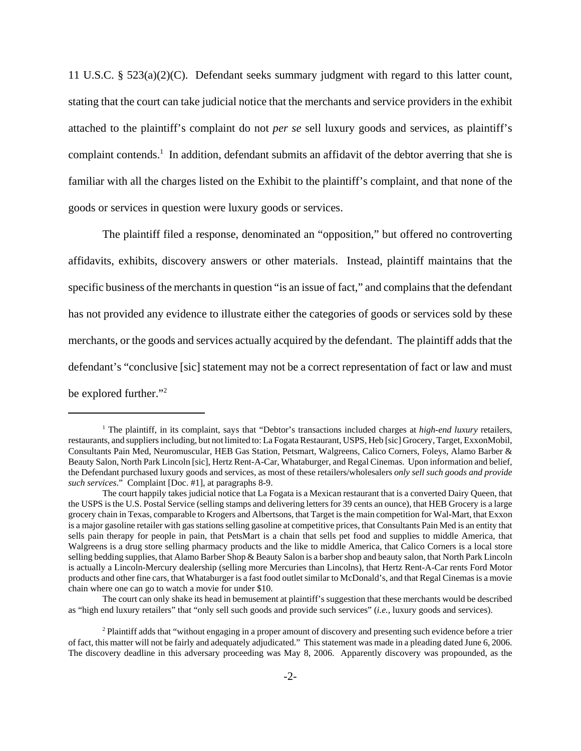11 U.S.C. § 523(a)(2)(C). Defendant seeks summary judgment with regard to this latter count, stating that the court can take judicial notice that the merchants and service providers in the exhibit attached to the plaintiff's complaint do not *per se* sell luxury goods and services, as plaintiff's complaint contends.<sup>1</sup> In addition, defendant submits an affidavit of the debtor averring that she is familiar with all the charges listed on the Exhibit to the plaintiff's complaint, and that none of the goods or services in question were luxury goods or services.

The plaintiff filed a response, denominated an "opposition," but offered no controverting affidavits, exhibits, discovery answers or other materials. Instead, plaintiff maintains that the specific business of the merchants in question "is an issue of fact," and complains that the defendant has not provided any evidence to illustrate either the categories of goods or services sold by these merchants, or the goods and services actually acquired by the defendant. The plaintiff adds that the defendant's "conclusive [sic] statement may not be a correct representation of fact or law and must be explored further."<sup>2</sup>

<sup>&</sup>lt;sup>1</sup> The plaintiff, in its complaint, says that "Debtor's transactions included charges at *high-end luxury* retailers, restaurants, and suppliers including, but not limited to: La Fogata Restaurant, USPS, Heb [sic] Grocery, Target, ExxonMobil, Consultants Pain Med, Neuromuscular, HEB Gas Station, Petsmart, Walgreens, Calico Corners, Foleys, Alamo Barber & Beauty Salon, North Park Lincoln [sic], Hertz Rent-A-Car, Whataburger, and Regal Cinemas. Upon information and belief, the Defendant purchased luxury goods and services, as most of these retailers/wholesalers *only sell such goods and provide such services*." Complaint [Doc. #1], at paragraphs 8-9.

The court happily takes judicial notice that La Fogata is a Mexican restaurant that is a converted Dairy Queen, that the USPS is the U.S. Postal Service (selling stamps and delivering letters for 39 cents an ounce), that HEB Grocery is a large grocery chain in Texas, comparable to Krogers and Albertsons, that Target is the main competition for Wal-Mart, that Exxon is a major gasoline retailer with gas stations selling gasoline at competitive prices, that Consultants Pain Med is an entity that sells pain therapy for people in pain, that PetsMart is a chain that sells pet food and supplies to middle America, that Walgreens is a drug store selling pharmacy products and the like to middle America, that Calico Corners is a local store selling bedding supplies, that Alamo Barber Shop & Beauty Salon is a barber shop and beauty salon, that North Park Lincoln is actually a Lincoln-Mercury dealership (selling more Mercuries than Lincolns), that Hertz Rent-A-Car rents Ford Motor products and other fine cars, that Whataburger is a fast food outlet similar to McDonald's, and that Regal Cinemas is a movie chain where one can go to watch a movie for under \$10.

The court can only shake its head in bemusement at plaintiff's suggestion that these merchants would be described as "high end luxury retailers" that "only sell such goods and provide such services" (*i.e.*, luxury goods and services).

<sup>&</sup>lt;sup>2</sup> Plaintiff adds that "without engaging in a proper amount of discovery and presenting such evidence before a trier of fact, this matter will not be fairly and adequately adjudicated." This statement was made in a pleading dated June 6, 2006. The discovery deadline in this adversary proceeding was May 8, 2006. Apparently discovery was propounded, as the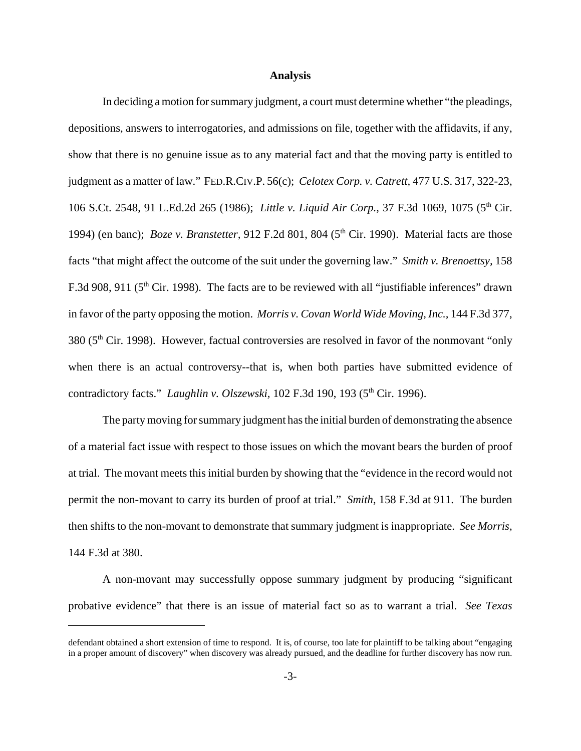## **Analysis**

In deciding a motion for summary judgment, a court must determine whether "the pleadings, depositions, answers to interrogatories, and admissions on file, together with the affidavits, if any, show that there is no genuine issue as to any material fact and that the moving party is entitled to judgment as a matter of law." FED.R.CIV.P. 56(c); *Celotex Corp. v. Catrett,* 477 U.S. 317, 322-23, 106 S.Ct. 2548, 91 L.Ed.2d 265 (1986); *Little v. Liquid Air Corp.*, 37 F.3d 1069, 1075 (5<sup>th</sup> Cir. 1994) (en banc); *Boze v. Branstetter*, 912 F.2d 801, 804 (5<sup>th</sup> Cir. 1990). Material facts are those facts "that might affect the outcome of the suit under the governing law." *Smith v. Brenoettsy,* 158 F.3d 908, 911 ( $5<sup>th</sup>$  Cir. 1998). The facts are to be reviewed with all "justifiable inferences" drawn in favor of the party opposing the motion. *Morris v. Covan World Wide Moving, Inc.,* 144 F.3d 377, 380 (5th Cir. 1998). However, factual controversies are resolved in favor of the nonmovant "only when there is an actual controversy--that is, when both parties have submitted evidence of contradictory facts." *Laughlin v. Olszewski*, 102 F.3d 190, 193 (5<sup>th</sup> Cir. 1996).

The party moving for summary judgment has the initial burden of demonstrating the absence of a material fact issue with respect to those issues on which the movant bears the burden of proof at trial. The movant meets this initial burden by showing that the "evidence in the record would not permit the non-movant to carry its burden of proof at trial." *Smith*, 158 F.3d at 911. The burden then shifts to the non-movant to demonstrate that summary judgment is inappropriate. *See Morris,* 144 F.3d at 380.

A non-movant may successfully oppose summary judgment by producing "significant probative evidence" that there is an issue of material fact so as to warrant a trial. *See Texas*

defendant obtained a short extension of time to respond. It is, of course, too late for plaintiff to be talking about "engaging in a proper amount of discovery" when discovery was already pursued, and the deadline for further discovery has now run.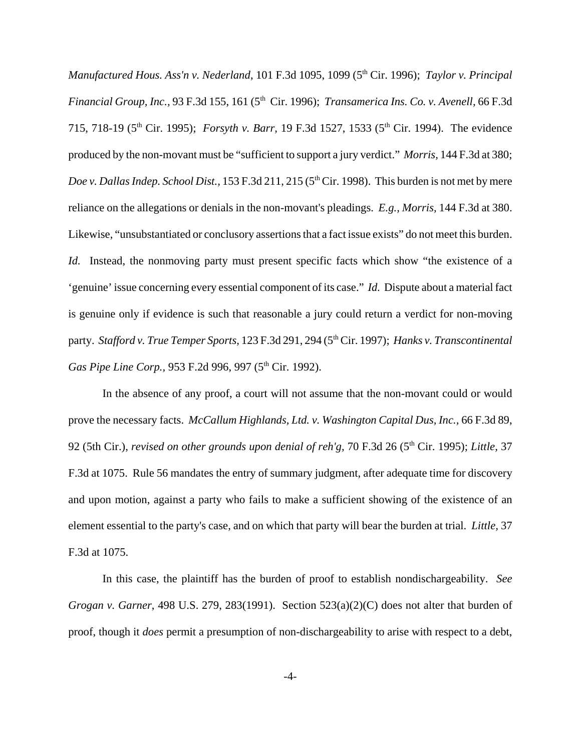*Manufactured Hous. Ass'n v. Nederland,* 101 F.3d 1095, 1099 (5<sup>th</sup> Cir. 1996); *Taylor v. Principal Financial Group, Inc., 93 F.3d 155, 161 (5<sup>th</sup> Cir. 1996); <i>Transamerica Ins. Co. v. Avenell, 66 F.3d* 715, 718-19 (5th Cir. 1995); *Forsyth v. Barr,* 19 F.3d 1527, 1533 (5th Cir. 1994). The evidence produced by the non-movant must be "sufficient to support a jury verdict." *Morris,* 144 F.3d at 380; *Doe v. Dallas Indep. School Dist.,* 153 F.3d 211, 215 (5<sup>th</sup> Cir. 1998). This burden is not met by mere reliance on the allegations or denials in the non-movant's pleadings. *E.g., Morris,* 144 F.3d at 380. Likewise, "unsubstantiated or conclusory assertions that a fact issue exists" do not meet this burden. *Id.* Instead, the nonmoving party must present specific facts which show "the existence of a 'genuine' issue concerning every essential component of its case." *Id.* Dispute about a material fact is genuine only if evidence is such that reasonable a jury could return a verdict for non-moving party. *Stafford v. True Temper Sports,* 123 F.3d 291, 294 (5<sup>th</sup> Cir. 1997); *Hanks v. Transcontinental Gas Pipe Line Corp., 953 F.2d 996, 997 (5<sup>th</sup> Cir. 1992).* 

In the absence of any proof, a court will not assume that the non-movant could or would prove the necessary facts. *McCallum Highlands, Ltd. v. Washington Capital Dus, Inc.,* 66 F.3d 89, 92 (5th Cir.), *revised on other grounds upon denial of reh'g,* 70 F.3d 26 (5th Cir. 1995); *Little,* 37 F.3d at 1075. Rule 56 mandates the entry of summary judgment, after adequate time for discovery and upon motion, against a party who fails to make a sufficient showing of the existence of an element essential to the party's case, and on which that party will bear the burden at trial. *Little,* 37 F.3d at 1075.

In this case, the plaintiff has the burden of proof to establish nondischargeability. *See Grogan v. Garner*, 498 U.S. 279, 283(1991). Section 523(a)(2)(C) does not alter that burden of proof, though it *does* permit a presumption of non-dischargeability to arise with respect to a debt,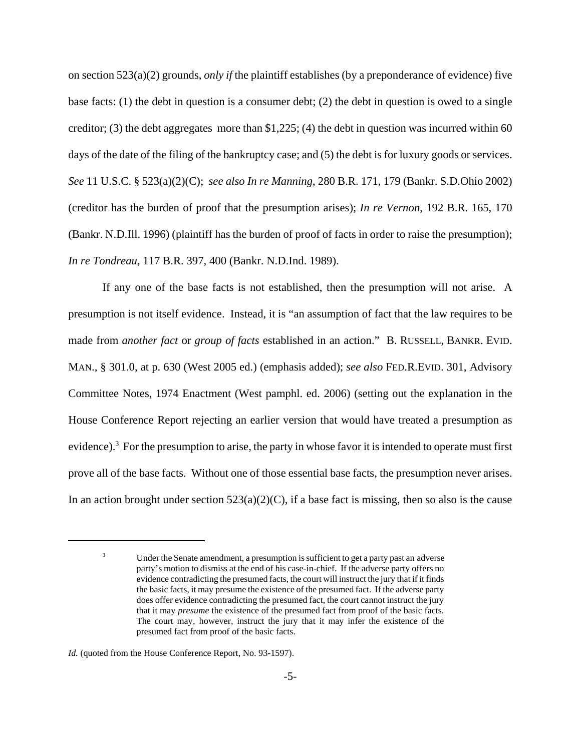on section 523(a)(2) grounds, *only if* the plaintiff establishes (by a preponderance of evidence) five base facts: (1) the debt in question is a consumer debt; (2) the debt in question is owed to a single creditor; (3) the debt aggregates more than  $\frac{1}{225}$ ; (4) the debt in question was incurred within 60 days of the date of the filing of the bankruptcy case; and (5) the debt is for luxury goods or services. *See* 11 U.S.C. § 523(a)(2)(C); *see also In re Manning*, 280 B.R. 171, 179 (Bankr. S.D.Ohio 2002) (creditor has the burden of proof that the presumption arises); *In re Vernon*, 192 B.R. 165, 170 (Bankr. N.D.Ill. 1996) (plaintiff has the burden of proof of facts in order to raise the presumption); *In re Tondreau*, 117 B.R. 397, 400 (Bankr. N.D.Ind. 1989).

If any one of the base facts is not established, then the presumption will not arise. A presumption is not itself evidence. Instead, it is "an assumption of fact that the law requires to be made from *another fact* or *group of facts* established in an action." B. RUSSELL, BANKR. EVID. MAN., § 301.0, at p. 630 (West 2005 ed.) (emphasis added); *see also* FED.R.EVID. 301, Advisory Committee Notes, 1974 Enactment (West pamphl. ed. 2006) (setting out the explanation in the House Conference Report rejecting an earlier version that would have treated a presumption as evidence).<sup>3</sup> For the presumption to arise, the party in whose favor it is intended to operate must first prove all of the base facts. Without one of those essential base facts, the presumption never arises. In an action brought under section  $523(a)(2)(C)$ , if a base fact is missing, then so also is the cause

<sup>3</sup> Under the Senate amendment, a presumption is sufficient to get a party past an adverse party's motion to dismiss at the end of his case-in-chief. If the adverse party offers no evidence contradicting the presumed facts, the court will instruct the jury that if it finds the basic facts, it may presume the existence of the presumed fact. If the adverse party does offer evidence contradicting the presumed fact, the court cannot instruct the jury that it may *presume* the existence of the presumed fact from proof of the basic facts. The court may, however, instruct the jury that it may infer the existence of the presumed fact from proof of the basic facts.

*Id.* (quoted from the House Conference Report, No. 93-1597).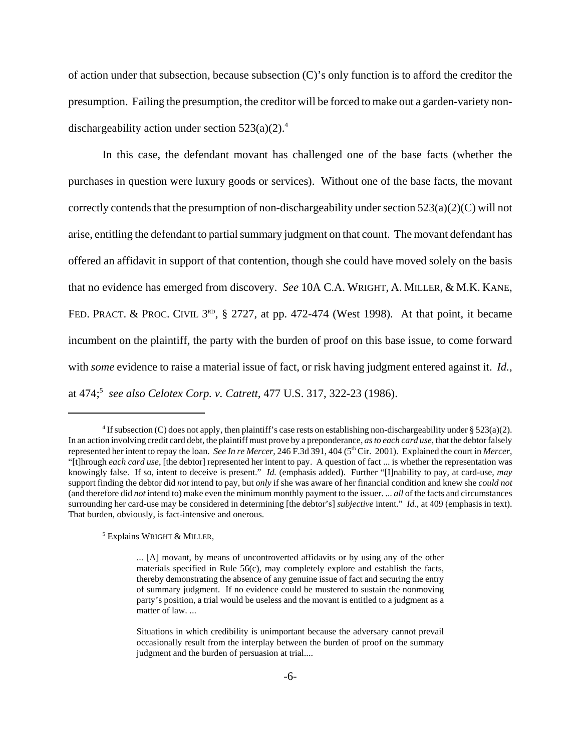of action under that subsection, because subsection (C)'s only function is to afford the creditor the presumption. Failing the presumption, the creditor will be forced to make out a garden-variety nondischargeability action under section  $523(a)(2)$ .<sup>4</sup>

In this case, the defendant movant has challenged one of the base facts (whether the purchases in question were luxury goods or services). Without one of the base facts, the movant correctly contends that the presumption of non-dischargeability under section  $523(a)(2)(C)$  will not arise, entitling the defendant to partial summary judgment on that count. The movant defendant has offered an affidavit in support of that contention, though she could have moved solely on the basis that no evidence has emerged from discovery. *See* 10A C.A. WRIGHT, A. MILLER, & M.K. KANE, FED. PRACT. & PROC. CIVIL  $3^{RD}$ , § 2727, at pp. 472-474 (West 1998). At that point, it became incumbent on the plaintiff, the party with the burden of proof on this base issue, to come forward with *some* evidence to raise a material issue of fact, or risk having judgment entered against it. *Id.*, at 474;5 *see also Celotex Corp. v. Catrett,* 477 U.S. 317, 322-23 (1986).

5 Explains WRIGHT & MILLER,

<sup>&</sup>lt;sup>4</sup> If subsection (C) does not apply, then plaintiff's case rests on establishing non-dischargeability under § 523(a)(2). In an action involving credit card debt, the plaintiff must prove by a preponderance, *as to each card use*, that the debtor falsely represented her intent to repay the loan. *See In re Mercer*, 246 F.3d 391, 404 (5th Cir. 2001). Explained the court in *Mercer*, "[t]hrough *each card use*, [the debtor] represented her intent to pay. A question of fact ... is whether the representation was knowingly false. If so, intent to deceive is present." *Id.* (emphasis added). Further "[I]nability to pay, at card-use, *may* support finding the debtor did *not* intend to pay, but *only* if she was aware of her financial condition and knew she *could not* (and therefore did *not* intend to) make even the minimum monthly payment to the issuer. ... *all* of the facts and circumstances surrounding her card-use may be considered in determining [the debtor's] *subjective* intent." *Id.*, at 409 (emphasis in text). That burden, obviously, is fact-intensive and onerous.

<sup>... [</sup>A] movant, by means of uncontroverted affidavits or by using any of the other materials specified in Rule 56(c), may completely explore and establish the facts, thereby demonstrating the absence of any genuine issue of fact and securing the entry of summary judgment. If no evidence could be mustered to sustain the nonmoving party's position, a trial would be useless and the movant is entitled to a judgment as a matter of law. ...

Situations in which credibility is unimportant because the adversary cannot prevail occasionally result from the interplay between the burden of proof on the summary judgment and the burden of persuasion at trial....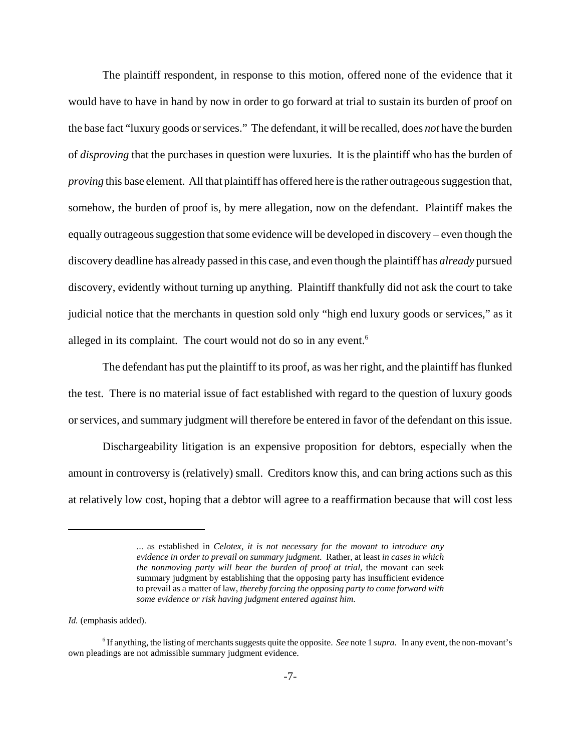The plaintiff respondent, in response to this motion, offered none of the evidence that it would have to have in hand by now in order to go forward at trial to sustain its burden of proof on the base fact "luxury goods or services." The defendant, it will be recalled, does *not* have the burden of *disproving* that the purchases in question were luxuries. It is the plaintiff who has the burden of *proving* this base element. All that plaintiff has offered here is the rather outrageous suggestion that, somehow, the burden of proof is, by mere allegation, now on the defendant. Plaintiff makes the equally outrageous suggestion that some evidence will be developed in discovery – even though the discovery deadline has already passed in this case, and even though the plaintiff has *already* pursued discovery, evidently without turning up anything. Plaintiff thankfully did not ask the court to take judicial notice that the merchants in question sold only "high end luxury goods or services," as it alleged in its complaint. The court would not do so in any event. $<sup>6</sup>$ </sup>

The defendant has put the plaintiff to its proof, as was her right, and the plaintiff has flunked the test. There is no material issue of fact established with regard to the question of luxury goods or services, and summary judgment will therefore be entered in favor of the defendant on this issue.

 Dischargeability litigation is an expensive proposition for debtors, especially when the amount in controversy is (relatively) small. Creditors know this, and can bring actions such as this at relatively low cost, hoping that a debtor will agree to a reaffirmation because that will cost less

<sup>...</sup> as established in *Celotex*, *it is not necessary for the movant to introduce any evidence in order to prevail on summary judgment*. Rather, at least *in cases in which the nonmoving party will bear the burden of proof at trial*, the movant can seek summary judgment by establishing that the opposing party has insufficient evidence to prevail as a matter of law, *thereby forcing the opposing party to come forward with some evidence or risk having judgment entered against him*.

*Id.* (emphasis added).

<sup>6</sup> If anything, the listing of merchants suggests quite the opposite. *See* note 1 *supra*. In any event, the non-movant's own pleadings are not admissible summary judgment evidence.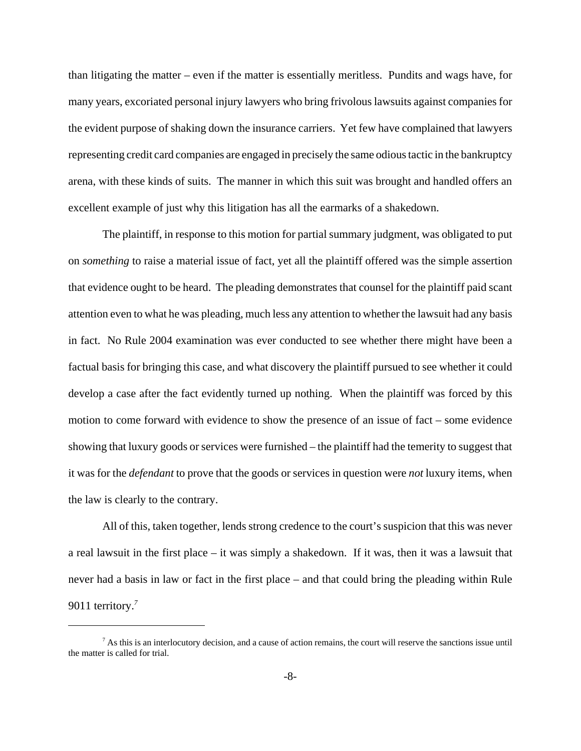than litigating the matter – even if the matter is essentially meritless. Pundits and wags have, for many years, excoriated personal injury lawyers who bring frivolous lawsuits against companies for the evident purpose of shaking down the insurance carriers. Yet few have complained that lawyers representing credit card companies are engaged in precisely the same odious tactic in the bankruptcy arena, with these kinds of suits. The manner in which this suit was brought and handled offers an excellent example of just why this litigation has all the earmarks of a shakedown.

The plaintiff, in response to this motion for partial summary judgment, was obligated to put on *something* to raise a material issue of fact, yet all the plaintiff offered was the simple assertion that evidence ought to be heard. The pleading demonstrates that counsel for the plaintiff paid scant attention even to what he was pleading, much less any attention to whether the lawsuit had any basis in fact. No Rule 2004 examination was ever conducted to see whether there might have been a factual basis for bringing this case, and what discovery the plaintiff pursued to see whether it could develop a case after the fact evidently turned up nothing. When the plaintiff was forced by this motion to come forward with evidence to show the presence of an issue of fact – some evidence showing that luxury goods or services were furnished – the plaintiff had the temerity to suggest that it was for the *defendant* to prove that the goods or services in question were *not* luxury items, when the law is clearly to the contrary.

All of this, taken together, lends strong credence to the court's suspicion that this was never a real lawsuit in the first place – it was simply a shakedown. If it was, then it was a lawsuit that never had a basis in law or fact in the first place – and that could bring the pleading within Rule 9011 territory.*<sup>7</sup>*

 $^7$  As this is an interlocutory decision, and a cause of action remains, the court will reserve the sanctions issue until the matter is called for trial.